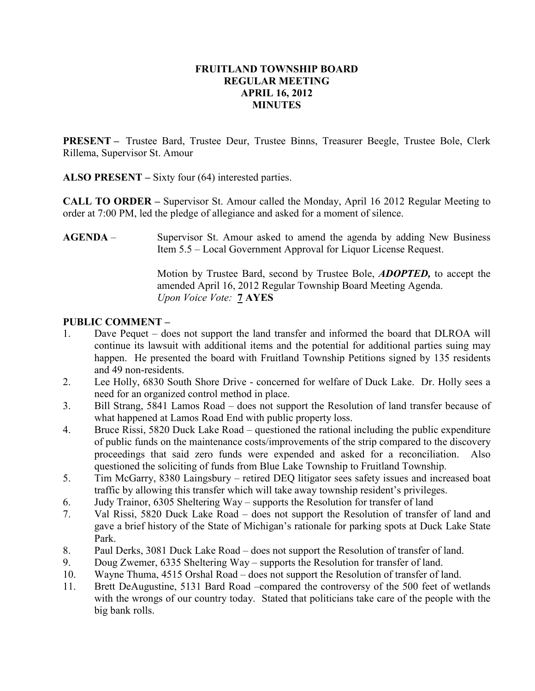### FRUITLAND TOWNSHIP BOARD REGULAR MEETING APRIL 16, 2012 MINUTES

PRESENT – Trustee Bard, Trustee Deur, Trustee Binns, Treasurer Beegle, Trustee Bole, Clerk Rillema, Supervisor St. Amour

ALSO PRESENT – Sixty four (64) interested parties.

CALL TO ORDER – Supervisor St. Amour called the Monday, April 16 2012 Regular Meeting to order at 7:00 PM, led the pledge of allegiance and asked for a moment of silence.

AGENDA – Supervisor St. Amour asked to amend the agenda by adding New Business Item 5.5 – Local Government Approval for Liquor License Request.

> Motion by Trustee Bard, second by Trustee Bole, ADOPTED, to accept the amended April 16, 2012 Regular Township Board Meeting Agenda. Upon Voice Vote: **7 AYES**

# PUBLIC COMMENT –

- 1. Dave Pequet does not support the land transfer and informed the board that DLROA will continue its lawsuit with additional items and the potential for additional parties suing may happen. He presented the board with Fruitland Township Petitions signed by 135 residents and 49 non-residents.
- 2. Lee Holly, 6830 South Shore Drive concerned for welfare of Duck Lake. Dr. Holly sees a need for an organized control method in place.
- 3. Bill Strang, 5841 Lamos Road does not support the Resolution of land transfer because of what happened at Lamos Road End with public property loss.
- 4. Bruce Rissi, 5820 Duck Lake Road questioned the rational including the public expenditure of public funds on the maintenance costs/improvements of the strip compared to the discovery proceedings that said zero funds were expended and asked for a reconciliation. Also questioned the soliciting of funds from Blue Lake Township to Fruitland Township.
- 5. Tim McGarry, 8380 Laingsbury retired DEQ litigator sees safety issues and increased boat traffic by allowing this transfer which will take away township resident's privileges.
- 6. Judy Trainor, 6305 Sheltering Way supports the Resolution for transfer of land
- 7. Val Rissi, 5820 Duck Lake Road does not support the Resolution of transfer of land and gave a brief history of the State of Michigan's rationale for parking spots at Duck Lake State Park.
- 8. Paul Derks, 3081 Duck Lake Road does not support the Resolution of transfer of land.
- 9. Doug Zwemer, 6335 Sheltering Way supports the Resolution for transfer of land.
- 10. Wayne Thuma, 4515 Orshal Road does not support the Resolution of transfer of land.
- 11. Brett DeAugustine, 5131 Bard Road –compared the controversy of the 500 feet of wetlands with the wrongs of our country today. Stated that politicians take care of the people with the big bank rolls.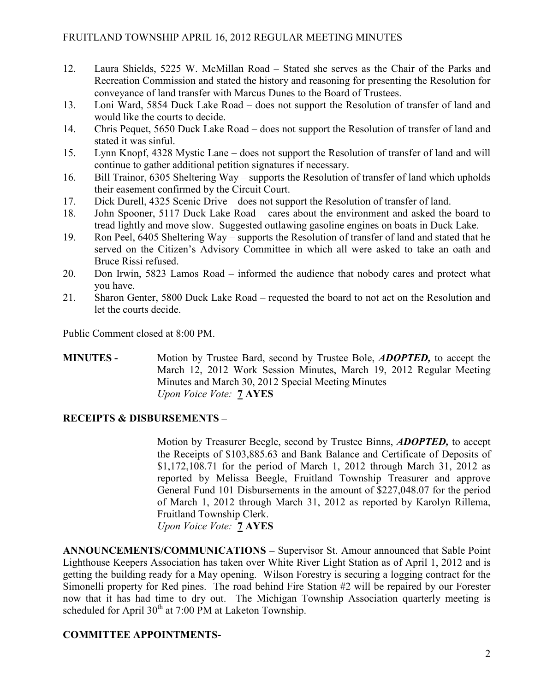- 12. Laura Shields, 5225 W. McMillan Road Stated she serves as the Chair of the Parks and Recreation Commission and stated the history and reasoning for presenting the Resolution for conveyance of land transfer with Marcus Dunes to the Board of Trustees.
- 13. Loni Ward, 5854 Duck Lake Road does not support the Resolution of transfer of land and would like the courts to decide.
- 14. Chris Pequet, 5650 Duck Lake Road does not support the Resolution of transfer of land and stated it was sinful.
- 15. Lynn Knopf, 4328 Mystic Lane does not support the Resolution of transfer of land and will continue to gather additional petition signatures if necessary.
- 16. Bill Trainor, 6305 Sheltering Way supports the Resolution of transfer of land which upholds their easement confirmed by the Circuit Court.
- 17. Dick Durell, 4325 Scenic Drive does not support the Resolution of transfer of land.
- 18. John Spooner, 5117 Duck Lake Road cares about the environment and asked the board to tread lightly and move slow. Suggested outlawing gasoline engines on boats in Duck Lake.
- 19. Ron Peel, 6405 Sheltering Way supports the Resolution of transfer of land and stated that he served on the Citizen's Advisory Committee in which all were asked to take an oath and Bruce Rissi refused.
- 20. Don Irwin, 5823 Lamos Road informed the audience that nobody cares and protect what you have.
- 21. Sharon Genter, 5800 Duck Lake Road requested the board to not act on the Resolution and let the courts decide.

Public Comment closed at 8:00 PM.

MINUTES - Motion by Trustee Bard, second by Trustee Bole, ADOPTED, to accept the March 12, 2012 Work Session Minutes, March 19, 2012 Regular Meeting Minutes and March 30, 2012 Special Meeting Minutes Upon Voice Vote: 7 AYES

### RECEIPTS & DISBURSEMENTS –

Motion by Treasurer Beegle, second by Trustee Binns, ADOPTED, to accept the Receipts of \$103,885.63 and Bank Balance and Certificate of Deposits of \$1,172,108.71 for the period of March 1, 2012 through March 31, 2012 as reported by Melissa Beegle, Fruitland Township Treasurer and approve General Fund 101 Disbursements in the amount of \$227,048.07 for the period of March 1, 2012 through March 31, 2012 as reported by Karolyn Rillema, Fruitland Township Clerk. Upon Voice Vote: 7 AYES

ANNOUNCEMENTS/COMMUNICATIONS – Supervisor St. Amour announced that Sable Point Lighthouse Keepers Association has taken over White River Light Station as of April 1, 2012 and is getting the building ready for a May opening. Wilson Forestry is securing a logging contract for the Simonelli property for Red pines. The road behind Fire Station #2 will be repaired by our Forester now that it has had time to dry out. The Michigan Township Association quarterly meeting is scheduled for April  $30<sup>th</sup>$  at 7:00 PM at Laketon Township.

### COMMITTEE APPOINTMENTS-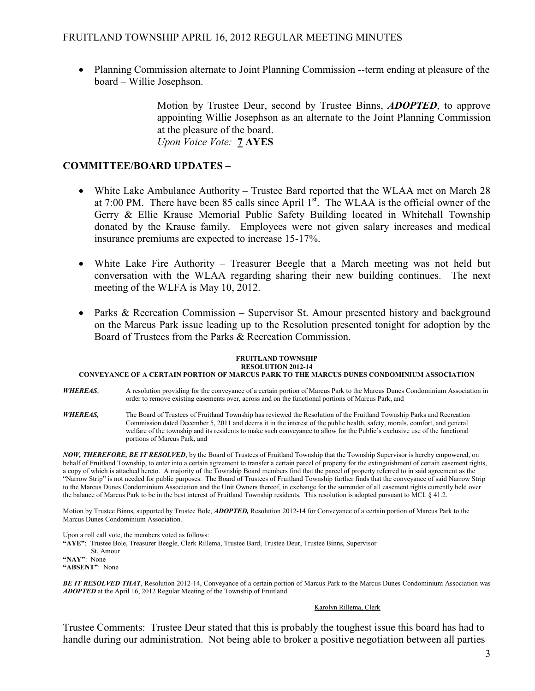• Planning Commission alternate to Joint Planning Commission --term ending at pleasure of the board – Willie Josephson.

> Motion by Trustee Deur, second by Trustee Binns, **ADOPTED**, to approve appointing Willie Josephson as an alternate to the Joint Planning Commission at the pleasure of the board. Upon Voice Vote: 7 AYES

### COMMITTEE/BOARD UPDATES –

- White Lake Ambulance Authority Trustee Bard reported that the WLAA met on March 28 at 7:00 PM. There have been 85 calls since April  $1<sup>st</sup>$ . The WLAA is the official owner of the Gerry & Ellie Krause Memorial Public Safety Building located in Whitehall Township donated by the Krause family. Employees were not given salary increases and medical insurance premiums are expected to increase 15-17%.
- White Lake Fire Authority Treasurer Beegle that a March meeting was not held but conversation with the WLAA regarding sharing their new building continues. The next meeting of the WLFA is May 10, 2012.
- Parks & Recreation Commission Supervisor St. Amour presented history and background on the Marcus Park issue leading up to the Resolution presented tonight for adoption by the Board of Trustees from the Parks & Recreation Commission.

#### FRUITLAND TOWNSHIP RESOLUTION 2012-14

### CONVEYANCE OF A CERTAIN PORTION OF MARCUS PARK TO THE MARCUS DUNES CONDOMINIUM ASSOCIATION

- WHEREAS, A resolution providing for the conveyance of a certain portion of Marcus Park to the Marcus Dunes Condominium Association in order to remove existing easements over, across and on the functional portions of Marcus Park, and
- WHEREAS, The Board of Trustees of Fruitland Township has reviewed the Resolution of the Fruitland Township Parks and Recreation Commission dated December 5, 2011 and deems it in the interest of the public health, safety, morals, comfort, and general welfare of the township and its residents to make such conveyance to allow for the Public's exclusive use of the functional portions of Marcus Park, and

NOW, THEREFORE, BE IT RESOLVED, by the Board of Trustees of Fruitland Township that the Township Supervisor is hereby empowered, on behalf of Fruitland Township, to enter into a certain agreement to transfer a certain parcel of property for the extinguishment of certain easement rights, a copy of which is attached hereto. A majority of the Township Board members find that the parcel of property referred to in said agreement as the "Narrow Strip" is not needed for public purposes. The Board of Trustees of Fruitland Township further finds that the conveyance of said Narrow Strip to the Marcus Dunes Condominium Association and the Unit Owners thereof, in exchange for the surrender of all easement rights currently held over the balance of Marcus Park to be in the best interest of Fruitland Township residents. This resolution is adopted pursuant to MCL § 41.2.

Motion by Trustee Binns, supported by Trustee Bole, *ADOPTED*, Resolution 2012-14 for Conveyance of a certain portion of Marcus Park to the Marcus Dunes Condominium Association.

Upon a roll call vote, the members voted as follows:

"AYE": Trustee Bole, Treasurer Beegle, Clerk Rillema, Trustee Bard, Trustee Deur, Trustee Binns, Supervisor St. Amour

"NAY": None "ABSENT": None

BE IT RESOLVED THAT, Resolution 2012-14, Conveyance of a certain portion of Marcus Park to the Marcus Dunes Condominium Association was ADOPTED at the April 16, 2012 Regular Meeting of the Township of Fruitland.

#### Karolyn Rillema, Clerk

Trustee Comments: Trustee Deur stated that this is probably the toughest issue this board has had to handle during our administration. Not being able to broker a positive negotiation between all parties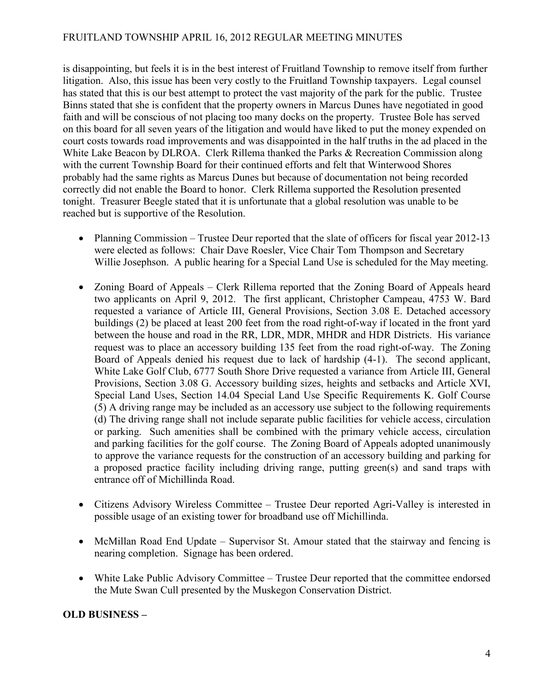## FRUITLAND TOWNSHIP APRIL 16, 2012 REGULAR MEETING MINUTES

is disappointing, but feels it is in the best interest of Fruitland Township to remove itself from further litigation. Also, this issue has been very costly to the Fruitland Township taxpayers. Legal counsel has stated that this is our best attempt to protect the vast majority of the park for the public. Trustee Binns stated that she is confident that the property owners in Marcus Dunes have negotiated in good faith and will be conscious of not placing too many docks on the property. Trustee Bole has served on this board for all seven years of the litigation and would have liked to put the money expended on court costs towards road improvements and was disappointed in the half truths in the ad placed in the White Lake Beacon by DLROA. Clerk Rillema thanked the Parks & Recreation Commission along with the current Township Board for their continued efforts and felt that Winterwood Shores probably had the same rights as Marcus Dunes but because of documentation not being recorded correctly did not enable the Board to honor. Clerk Rillema supported the Resolution presented tonight. Treasurer Beegle stated that it is unfortunate that a global resolution was unable to be reached but is supportive of the Resolution.

- Planning Commission Trustee Deur reported that the slate of officers for fiscal year 2012-13 were elected as follows: Chair Dave Roesler, Vice Chair Tom Thompson and Secretary Willie Josephson. A public hearing for a Special Land Use is scheduled for the May meeting.
- Zoning Board of Appeals Clerk Rillema reported that the Zoning Board of Appeals heard two applicants on April 9, 2012. The first applicant, Christopher Campeau, 4753 W. Bard requested a variance of Article III, General Provisions, Section 3.08 E. Detached accessory buildings (2) be placed at least 200 feet from the road right-of-way if located in the front yard between the house and road in the RR, LDR, MDR, MHDR and HDR Districts. His variance request was to place an accessory building 135 feet from the road right-of-way. The Zoning Board of Appeals denied his request due to lack of hardship (4-1). The second applicant, White Lake Golf Club, 6777 South Shore Drive requested a variance from Article III, General Provisions, Section 3.08 G. Accessory building sizes, heights and setbacks and Article XVI, Special Land Uses, Section 14.04 Special Land Use Specific Requirements K. Golf Course (5) A driving range may be included as an accessory use subject to the following requirements (d) The driving range shall not include separate public facilities for vehicle access, circulation or parking. Such amenities shall be combined with the primary vehicle access, circulation and parking facilities for the golf course. The Zoning Board of Appeals adopted unanimously to approve the variance requests for the construction of an accessory building and parking for a proposed practice facility including driving range, putting green(s) and sand traps with entrance off of Michillinda Road.
- Citizens Advisory Wireless Committee Trustee Deur reported Agri-Valley is interested in possible usage of an existing tower for broadband use off Michillinda.
- McMillan Road End Update Supervisor St. Amour stated that the stairway and fencing is nearing completion. Signage has been ordered.
- White Lake Public Advisory Committee Trustee Deur reported that the committee endorsed the Mute Swan Cull presented by the Muskegon Conservation District.

### OLD BUSINESS –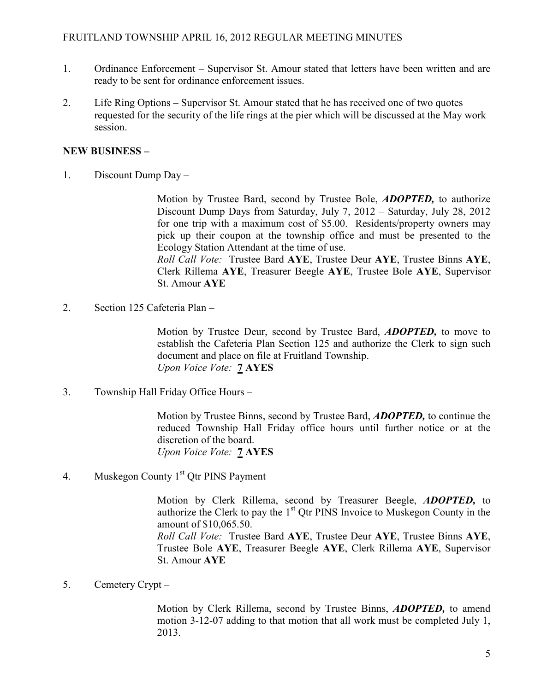- 1. Ordinance Enforcement Supervisor St. Amour stated that letters have been written and are ready to be sent for ordinance enforcement issues.
- 2. Life Ring Options Supervisor St. Amour stated that he has received one of two quotes requested for the security of the life rings at the pier which will be discussed at the May work session.

### NEW BUSINESS –

1. Discount Dump Day –

Motion by Trustee Bard, second by Trustee Bole, **ADOPTED**, to authorize Discount Dump Days from Saturday, July 7, 2012 – Saturday, July 28, 2012 for one trip with a maximum cost of \$5.00. Residents/property owners may pick up their coupon at the township office and must be presented to the Ecology Station Attendant at the time of use.

Roll Call Vote: Trustee Bard AYE, Trustee Deur AYE, Trustee Binns AYE, Clerk Rillema AYE, Treasurer Beegle AYE, Trustee Bole AYE, Supervisor St. Amour AYE

2. Section 125 Cafeteria Plan –

Motion by Trustee Deur, second by Trustee Bard, ADOPTED, to move to establish the Cafeteria Plan Section 125 and authorize the Clerk to sign such document and place on file at Fruitland Township. Upon Voice Vote: 7 AYES

3. Township Hall Friday Office Hours –

Motion by Trustee Binns, second by Trustee Bard, ADOPTED, to continue the reduced Township Hall Friday office hours until further notice or at the discretion of the board. Upon Voice Vote: 7 AYES

4. Muskegon County  $1<sup>st</sup>$  Qtr PINS Payment –

Motion by Clerk Rillema, second by Treasurer Beegle, ADOPTED, to authorize the Clerk to pay the  $1<sup>st</sup>$  Qtr PINS Invoice to Muskegon County in the amount of \$10,065.50. Roll Call Vote: Trustee Bard AYE, Trustee Deur AYE, Trustee Binns AYE, Trustee Bole AYE, Treasurer Beegle AYE, Clerk Rillema AYE, Supervisor

St. Amour AYE

5. Cemetery Crypt –

Motion by Clerk Rillema, second by Trustee Binns, **ADOPTED**, to amend motion 3-12-07 adding to that motion that all work must be completed July 1, 2013.